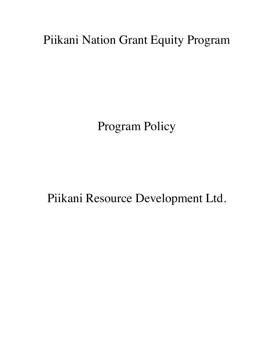Piikani Nation Grant Equity Program

Program Policy

Piikani Resource Development Ltd.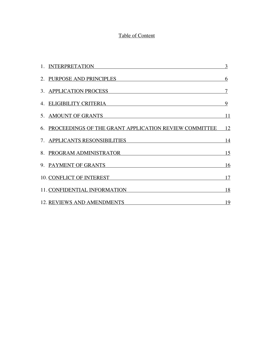# Table of Content

| 1. INTERPRETATION                                        | 3         |
|----------------------------------------------------------|-----------|
| 2. PURPOSE AND PRINCIPLES                                | 6         |
| 3. APPLICATION PROCESS                                   | $\tau$    |
| 4. ELIGIBILITY CRITERIA                                  | 9         |
| 5. AMOUNT OF GRANTS                                      | 11        |
| 6. PROCEEDINGS OF THE GRANT APPLICATION REVIEW COMMITTEE | <u>12</u> |
| 7. APPLICANTS RESONSIBILITIES                            | 14        |
| 8. PROGRAM ADMINISTRATOR                                 | <u>15</u> |
| 9. PAYMENT OF GRANTS                                     | 16        |
| <b>10. CONFLICT OF INTEREST</b>                          | 17        |
| 11. CONFIDENTIAL INFORMATION                             | 18        |
| <b>12. REVIEWS AND AMENDMENTS</b>                        | <u>19</u> |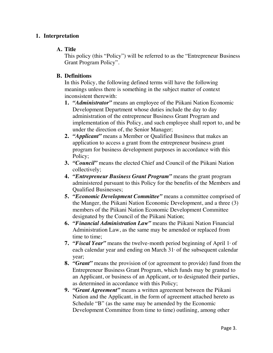#### **1. Interpretation**

#### **A. Title**

This policy (this "Policy") will be referred to as the "Entrepreneur Business Grant Program Policy".

#### **B. Definitions**

In this Policy, the following defined terms will have the following meanings unless there is something in the subject matter of context inconsistent therewith:

- **1.** *"Administrator"* means an employee of the Piikani Nation Economic Development Department whose duties include the day to day administration of the entrepreneur Business Grant Program and implementation of this Policy, and such employee shall report to, and be under the direction of, the Senior Manager;
- **2.** *"Applicant"* means a Member or Qualified Business that makes an application to access a grant from the entrepreneur business grant program for business development purposes in accordance with this Policy;
- **3.** *"Council"* means the elected Chief and Council of the Piikani Nation collectively;
- **4.** *"Entrepreneur Business Grant Program"* means the grant program administered pursuant to this Policy for the benefits of the Members and Qualified Businesses;
- **5.** *"Economic Development Committee"* means a committee comprised of the Manger, the Piikani Nation Economic Development, and a three (3) members of the Piikani Nation Economic Development Committee designated by the Council of the Piikani Nation;
- **6.** *"Financial Administration Law"* means the Piikani Nation Financial Administration Law, as the same may be amended or replaced from time to time;
- **7.** *"Fiscal Year"* means the twelve-month period beginning of April 1<sup>st</sup> of each calendar year and ending on March  $31$ <sup>st</sup> of the subsequent calendar year;
- **8.** *"Grant"* means the provision of (or agreement to provide) fund from the Entrepreneur Business Grant Program, which funds may be granted to an Applicant, or business of an Applicant, or to designated their parties, as determined in accordance with this Policy;
- **9.** *"Grant Agreement"* means a written agreement between the Piikani Nation and the Applicant, in the form of agreement attached hereto as Schedule "B" (as the same may be amended by the Economic Development Committee from time to time) outlining, among other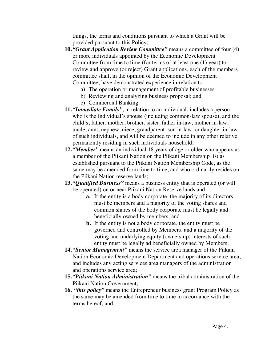things, the terms and conditions pursuant to which a Grant will be provided pursuant to this Policy;

- **10.** *"Grant Application Review Committee"* means a committee of four (4) or more individuals appointed by the Economic Development Committee from time to time (for terms of at least one (1) year) to review and approve (or reject) Grant applications, each of the members committee shall, in the opinion of the Economic Development Committee, have demonstrated experience in relation to:
	- a) The operation or management of profitable businesses
	- b) Reviewing and analyzing business proposal; and
	- c) Commercial Banking
- **11.** *"Immediate Family",* in relation to an individual, includes a person who is the individual's spouse (including common-law spouse), and the child's, father, mother, brother, sister, father in-law, mother in-law, uncle, aunt, nephew, niece, grandparent, son in-law, or daughter in-law of such individuals, and will be deemed to include in any other relative permanently residing in such individuals household;
- **12.** *"Member"* means an individual 18 years of age or older who appears as a member of the Piikani Nation on the Piikani Membership list as established pursuant to the Piikani Nation Membership Code, as the same may be amended from time to time, and who ordinarily resides on the Piikani Nation reserve lands;
- **13.** *"Qualified Business"* means a business entity that is operated (or will be operated) on or near Piikani Nation Reserve lands and:
	- **a.** If the entity is a body corporate, the majority of its directors must be members and a majority of the voting shares and common shares of the body corporate must be legally and beneficially owned by members; and
	- **b.** If the entity is not a body corporate, the entity must be governed and controlled by Members, and a majority of the voting and underlying equity (ownership) interests of such entity must be legally ad beneficially owned by Members;
- **14.** *"Senior Management"* means the service area manager of the Piikani Nation Economic Development Department and operations service area, and includes any acting services area managers of the administration and operations service area;
- **15.** *"Piikani Nation Administration"* means the tribal administration of the Piikani Nation Government;
- **16.** *"this policy"* means the Entrepreneur business grant Program Policy as the same may be amended from time to time in accordance with the terms hereof; and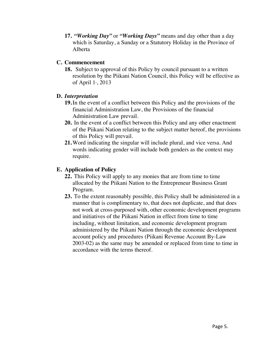**17.** *"Working Day"* or *"Working Days"* means and day other than a day which is Saturday, a Sunday or a Statutory Holiday in the Province of Alberta

### **C. Commencement**

**18.**Subject to approval of this Policy by council pursuant to a written resolution by the Piikani Nation Council, this Policy will be effective as of April  $1,4$ , 2013

## **D.** *Interpretation*

- **19.**In the event of a conflict between this Policy and the provisions of the financial Administration Law, the Provisions of the financial Administration Law prevail.
- **20.** In the event of a conflict between this Policy and any other enactment of the Piikani Nation relating to the subject matter hereof, the provisions of this Policy will prevail.
- **21.**Word indicating the singular will include plural, and vice versa. And words indicating gender will include both genders as the context may require.

## **E. Application of Policy**

- **22.** This Policy will apply to any monies that are from time to time allocated by the Piikani Nation to the Entrepreneur Business Grant Program.
- **23.** To the extent reasonably possible, this Policy shall be administered in a manner that is complimentary to, that does not duplicate, and that does not work at cross-purposed with, other economic development programs and initiatives of the Piikani Nation in effect from time to time including, without limitation, and economic development program administered by the Piikani Nation through the economic development account policy and procedures (Piikani Revenue Account By-Law 2003-02) as the same may be amended or replaced from time to time in accordance with the terms thereof.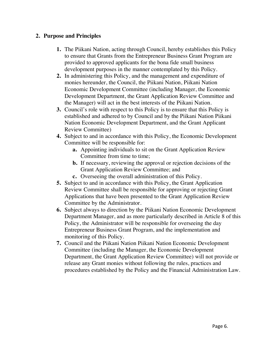### **2. Purpose and Principles**

- **1.** The Piikani Nation, acting through Council, hereby establishes this Policy to ensure that Grants from the Entrepreneur Business Grant Program are provided to approved applicants for the bona fide small business development purposes in the manner contemplated by this Policy.
- **2.** In administering this Policy, and the management and expenditure of monies hereunder, the Council, the Piikani Nation, Piikani Nation Economic Development Committee (including Manager, the Economic Development Department, the Grant Application Review Committee and the Manager) will act in the best interests of the Piikani Nation.
- **3.** Council's role with respect to this Policy is to ensure that this Policy is established and adhered to by Council and by the Piikani Nation Piikani Nation Economic Development Department, and the Grant Applicant Review Committee)
- **4.** Subject to and in accordance with this Policy, the Economic Development Committee will be responsible for:
	- **a.** Appointing individuals to sit on the Grant Application Review Committee from time to time;
	- **b.** If necessary, reviewing the approval or rejection decisions of the Grant Application Review Committee; and
	- **c.** Overseeing the overall administration of this Policy.
- **5.** Subject to and in accordance with this Policy, the Grant Application Review Committee shall be responsible for approving or rejecting Grant Applications that have been presented to the Grant Application Review Committee by the Administrator.
- **6.** Subject always to direction by the Piikani Nation Economic Development Department Manager, and as more particularly described in Article 8 of this Policy, the Administrator will be responsible for overseeing the day Entrepreneur Business Grant Program, and the implementation and monitoring of this Policy.
- **7.** Council and the Piikani Nation Piikani Nation Economic Development Committee (including the Manager, the Economic Development Department, the Grant Application Review Committee) will not provide or release any Grant monies without following the rules, practices and procedures established by the Policy and the Financial Administration Law.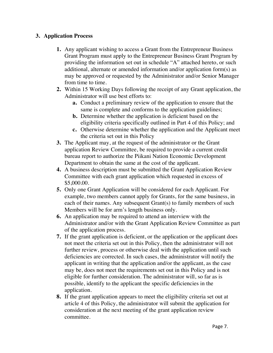### **3. Application Process**

- **1.** Any applicant wishing to access a Grant from the Entrepreneur Business Grant Program must apply to the Entrepreneur Business Grant Program by providing the information set out in schedule "A" attached hereto, or such additional, alternate or amended information and/or application form(s) as may be approved or requested by the Administrator and/or Senior Manager from time to time.
- **2.** Within 15 Working Days following the receipt of any Grant application, the Administrator will use best efforts to:
	- **a.** Conduct a preliminary review of the application to ensure that the same is complete and conforms to the application guidelines;
	- **b.** Determine whether the application is deficient based on the eligibility criteria specifically outlined in Part 4 of this Policy; and
	- **c.** Otherwise determine whether the application and the Applicant meet the criteria set out in this Policy
- **3.** The Applicant may, at the request of the administrator or the Grant application Review Committee, be required to provide a current credit bureau report to authorize the Piikani Nation Economic Development Department to obtain the same at the cost of the applicant.
- **4.** A business description must be submitted the Grant Application Review Committee with each grant application which requested in excess of \$5,000.00.
- **5.** Only one Grant Application will be considered for each Applicant. For example, two members cannot apply for Grants, for the same business, in each of their names. Any subsequent Grant(s) to family members of such Members will be for arm's length business only.
- **6.** An application may be required to attend an interview with the Administrator and/or with the Grant Application Review Committee as part of the application process.
- **7.** If the grant application is deficient, or the application or the applicant does not meet the criteria set out in this Policy, then the administrator will not further review, process or otherwise deal with the application until such deficiencies are corrected. In such cases, the administrator will notify the applicant in writing that the application and/or the applicant, as the case may be, does not meet the requirements set out in this Policy and is not eligible for further consideration. The administrator will, so far as is possible, identify to the applicant the specific deficiencies in the application.
- **8.** If the grant application appears to meet the eligibility criteria set out at article 4 of this Policy, the administrator will submit the application for consideration at the next meeting of the grant application review committee.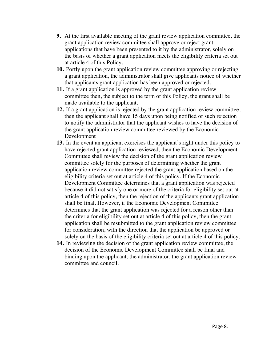- **9.** At the first available meeting of the grant review application committee, the grant application review committee shall approve or reject grant applications that have been presented to it by the administrator, solely on the basis of whether a grant application meets the eligibility criteria set out at article 4 of this Policy.
- **10.** Portly upon the grant application review committee approving or rejecting a grant application, the administrator shall give applicants notice of whether that applicants grant application has been approved or rejected.
- **11.** If a grant application is approved by the grant application review committee then, the subject to the term of this Policy, the grant shall be made available to the applicant.
- **12.** If a grant application is rejected by the grant application review committee, then the applicant shall have 15 days upon being notified of such rejection to notify the administrator that the applicant wishes to have the decision of the grant application review committee reviewed by the Economic Development
- **13.** In the event an applicant exercises the applicant's right under this policy to have rejected grant application reviewed, then the Economic Development Committee shall review the decision of the grant application review committee solely for the purposes of determining whether the grant application review committee rejected the grant application based on the eligibility criteria set out at article 4 of this policy. If the Economic Development Committee determines that a grant application was rejected because it did not satisfy one or more of the criteria for eligibility set out at article 4 of this policy, then the rejection of the applicants grant application shall be final. However, if the Economic Development Committee determines that the grant application was rejected for a reason other than the criteria for eligibility set out at article 4 of this policy, then the grant application shall be resubmitted to the grant application review committee for consideration, with the direction that the application be approved or solely on the basis of the eligibility criteria set out at article 4 of this policy.
- **14.** In reviewing the decision of the grant application review committee, the decision of the Economic Development Committee shall be final and binding upon the applicant, the administrator, the grant application review committee and council.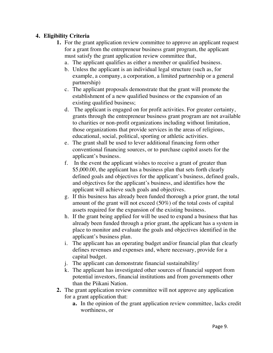## **4. Eligibility Criteria**

- **1.** For the grant application review committee to approve an applicant request for a grant from the entrepreneur business grant program, the applicant must satisfy the grant application review committee that,
	- a. The applicant qualifies as either a member or qualified business.
	- b. Unless the applicant is an individual legal structure (such as, for example, a company, a corporation, a limited partnership or a general partnership)
	- c. The applicant proposals demonstrate that the grant will promote the establishment of a new qualified business or the expansion of an existing qualified business;
	- d. The applicant is engaged on for profit activities. For greater certainty, grants through the entrepreneur business grant program are not available to charities or non-profit organizations including without limitation, those organizations that provide services in the areas of religious, educational, social, political, sporting or athletic activities.
	- e. The grant shall be used to lever additional financing form other conventional financing sources, or to purchase capitol assets for the applicant's business.
	- f. In the event the applicant wishes to receive a grant of greater than \$5,000.00, the applicant has a business plan that sets forth clearly defined goals and objectives for the applicant's business, defined goals, and objectives for the applicant's business, and identifies how the applicant will achieve such goals and objectives.
	- g. If this business has already been funded thorough a prior grant, the total amount of the grant will not exceed (50%) of the total costs of capital assets required for the expansion of the existing business.
	- h. If the grant being applied for will be used to expand a business that has already been funded through a prior grant, the applicant has a system in place to monitor and evaluate the goals and objectives identified in the applicant's business plan.
	- i. The applicant has an operating budget and/or financial plan that clearly defines revenues and expenses and, where necessary, provide for a capital budget.
	- j. The applicant can demonstrate financial sustainability/
	- k. The applicant has investigated other sources of financial support from potential investors, financial institutions and from governments other than the Piikani Nation.
- **2.** The grant application review committee will not approve any application for a grant application that:
	- **a.** In the opinion of the grant application review committee, lacks credit worthiness, or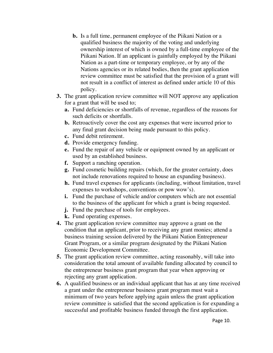- **b.** Is a full time, permanent employee of the Piikani Nation or a qualified business the majority of the voting and underlying ownership interest of which is owned by a full-time employee of the Piikani Nation. If an applicant is gainfully employed by the Piikani Nation as a part-time or temporary employee, or by any of the Nations agencies or its related bodies, then the grant application review committee must be satisfied that the provision of a grant will not result in a conflict of interest as defined under article 10 of this policy.
- **3.** The grant application review committee will NOT approve any application for a grant that will be used to;
	- **a.** Fund deficiencies or shortfalls of revenue, regardless of the reasons for such deficits or shortfalls.
	- **b.** Retroactively cover the cost any expenses that were incurred prior to any final grant decision being made pursuant to this policy.
	- **c.** Fund debit retirement.
	- **d.** Provide emergency funding.
	- **e.** Fund the repair of any vehicle or equipment owned by an applicant or used by an established business.
	- **f.** Support a ranching operation.
	- **g.** Fund cosmetic building repairs (which, for the greater certainty, does not include renovations required to house an expanding business).
	- **h.** Fund travel expenses for applicants (including, without limitation, travel expenses to workshops, conventions or pow wow's).
	- **i.** Fund the purchase of vehicle and/or computers which are not essential to the business of the applicant for which a grant is being requested.
	- **j.** Fund the purchase of tools for employees.
	- **k.** Fund operating expenses.
- **4.** The grant application review committee may approve a grant on the condition that an applicant, prior to receiving any grant monies; attend a business training session delivered by the Piikani Nation Entrepreneur Grant Program, or a similar program designated by the Piikani Nation Economic Development Committee.
- **5.** The grant application review committee, acting reasonably, will take into consideration the total amount of available funding allocated by council to the entrepreneur business grant program that year when approving or rejecting any grant application.
- **6.** A qualified business or an individual applicant that has at any time received a grant under the entrepreneur business grant program must wait a minimum of two years before applying again unless the grant application review committee is satisfied that the second application is for expanding a successful and profitable business funded through the first application.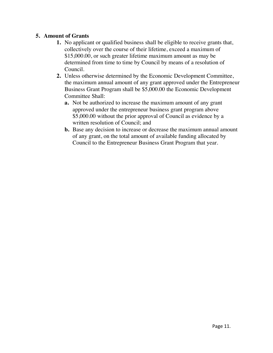### **5. Amount of Grants**

- **1.** No applicant or qualified business shall be eligible to receive grants that, collectively over the course of their lifetime, exceed a maximum of \$15,000.00, or such greater lifetime maximum amount as may be determined from time to time by Council by means of a resolution of Council.
- **2.** Unless otherwise determined by the Economic Development Committee, the maximum annual amount of any grant approved under the Entrepreneur Business Grant Program shall be \$5,000.00 the Economic Development Committee Shall:
	- **a.** Not be authorized to increase the maximum amount of any grant approved under the entrepreneur business grant program above \$5,000.00 without the prior approval of Council as evidence by a written resolution of Council; and
	- **b.** Base any decision to increase or decrease the maximum annual amount of any grant, on the total amount of available funding allocated by Council to the Entrepreneur Business Grant Program that year.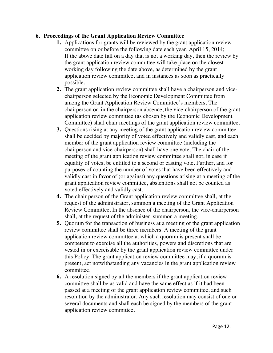### **6. Proceedings of the Grant Application Review Committee**

- **1.** Applications for grants will be reviewed by the grant application review committee on or before the following date each year, April 15, 2014; If the above date fall on a day that is not a working day, then the review by the grant application review committee will take place on the closest working day following the date above, as determined by the grant application review committee, and in instances as soon as practically possible.
- **2.** The grant application review committee shall have a chairperson and vicechairperson selected by the Economic Development Committee from among the Grant Application Review Committee's members. The chairperson or, in the chairperson absence, the vice-chairperson of the grant application review committee (as chosen by the Economic Development Committee) shall chair meetings of the grant application review committee.
- **3.** Questions rising at any meeting of the grant application review committee shall be decided by majority of voted effectively and validly cast, and each member of the grant application review committee (including the chairperson and vice-chairperson) shall have one vote. The chair of the meeting of the grant application review committee shall not, in case if equality of votes, be entitled to a second or casting vote. Further, and for purposes of counting the number of votes that have been effectively and validly cast in favor of (or against) any questions arising at a meeting of the grant application review committee, abstentions shall not be counted as voted effectively and validly cast.
- **4.** The chair person of the Grant application review committee shall, at the request of the administrator, summon a meeting of the Grant Application Review Committee. In the absence of the chairperson, the vice-chairperson shall, at the request of the administer, summon a meeting.
- **5.** Quorum for the transaction of business at a meeting of the grant application review committee shall be three members. A meeting of the grant application review committee at which a quorum is present shall be competent to exercise all the authorities, powers and discretions that are vested in or exercisable by the grant application review committee under this Policy. The grant application review committee may, if a quorum is present, act notwithstanding any vacancies in the grant application review committee.
- **6.** A resolution signed by all the members if the grant application review committee shall be as valid and have the same effect as if it had been passed at a meeting of the grant application review committee, and such resolution by the administrator. Any such resolution may consist of one or several documents and shall each be signed by the members of the grant application review committee.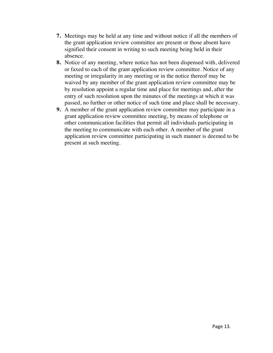- **7.** Meetings may be held at any time and without notice if all the members of the grant application review committee are present or those absent have signified their consent in writing to such meeting being held in their absence.
- **8.** Notice of any meeting, where notice has not been dispensed with, delivered or faxed to each of the grant application review committee. Notice of any meeting or irregularity in any meeting or in the notice thereof may be waived by any member of the grant application review committee may be by resolution appoint a regular time and place for meetings and, after the entry of such resolution upon the minutes of the meetings at which it was passed, no further or other notice of such time and place shall be necessary.
- **9.** A member of the grant application review committee may participate in a grant application review committee meeting, by means of telephone or other communication facilities that permit all individuals participating in the meeting to communicate with each other. A member of the grant application review committee participating in such manner is deemed to be present at such meeting.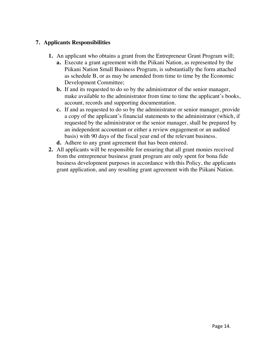## **7. Applicants Responsibilities**

- **1.** An applicant who obtains a grant from the Entrepreneur Grant Program will;
	- **a.** Execute a grant agreement with the Piikani Nation, as represented by the Piikani Nation Small Business Program, is substantially the form attached as schedule B, or as may be amended from time to time by the Economic Development Committee;
	- **b.** If and its requested to do so by the administrator of the senior manager, make available to the administrator from time to time the applicant's books, account, records and supporting documentation.
	- **c.** If and as requested to do so by the administrator or senior manager, provide a copy of the applicant's financial statements to the administrator (which, if requested by the administrator or the senior manager, shall be prepared by an independent accountant or either a review engagement or an audited basis) with 90 days of the fiscal year end of the relevant business.
	- **d.** Adhere to any grant agreement that has been entered.
- **2.** All applicants will be responsible for ensuring that all grant monies received from the entrepreneur business grant program are only spent for bona fide business development purposes in accordance with this Policy, the applicants grant application, and any resulting grant agreement with the Piikani Nation.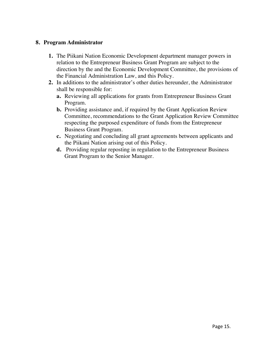### **8. Program Administrator**

- **1.** The Piikani Nation Economic Development department manager powers in relation to the Entrepreneur Business Grant Program are subject to the direction by the and the Economic Development Committee, the provisions of the Financial Administration Law, and this Policy.
- **2.** In additions to the administrator's other duties hereunder, the Administrator shall be responsible for:
	- **a.** Reviewing all applications for grants from Entrepreneur Business Grant Program.
	- **b.** Providing assistance and, if required by the Grant Application Review Committee, recommendations to the Grant Application Review Committee respecting the purposed expenditure of funds from the Entrepreneur Business Grant Program.
	- **c.** Negotiating and concluding all grant agreements between applicants and the Piikani Nation arising out of this Policy.
	- **d.** Providing regular reposting in regulation to the Entrepreneur Business Grant Program to the Senior Manager.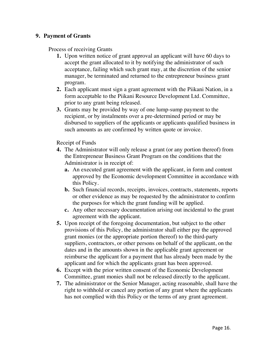### **9. Payment of Grants**

Process of receiving Grants

- **1.** Upon written notice of grant approval an applicant will have 60 days to accept the grant allocated to it by notifying the administrator of such acceptance, failing which such grant may, at the discretion of the senior manager, be terminated and returned to the entrepreneur business grant program.
- **2.** Each applicant must sign a grant agreement with the Piikani Nation, in a form acceptable to the Piikani Resource Development Ltd. Committee, prior to any grant being released.
- **3.** Grants may be provided by way of one lump-sump payment to the recipient, or by instalments over a pre-determined period or may be disbursed to suppliers of the applicants or applicants qualified business in such amounts as are confirmed by written quote or invoice.

Receipt of Funds

- **4.** The Administrator will only release a grant (or any portion thereof) from the Entrepreneur Business Grant Program on the conditions that the Administrator is in receipt of:
	- **a.** An executed grant agreement with the applicant, in form and content approved by the Economic development Committee in accordance with this Policy.
	- **b.** Such financial records, receipts, invoices, contracts, statements, reports or other evidence as may be requested by the administrator to confirm the purposes for which the grant funding will be applied.
	- **c.** Any other necessary documentation arising out incidental to the grant agreement with the applicant.
- **5.** Upon receipt of the foregoing documentation, but subject to the other provisions of this Policy, the administrator shall either pay the approved grant monies (or the appropriate portion thereof) to the third-party suppliers, contractors, or other persons on behalf of the applicant, on the dates and in the amounts shown in the applicable grant agreement or reimburse the applicant for a payment that has already been made by the applicant and for which the applicants grant has been approved.
- **6.** Except with the prior written consent of the Economic Development Committee, grant monies shall not be released directly to the applicant.
- **7.** The administrator or the Senior Manager, acting reasonable, shall have the right to withhold or cancel any portion of any grant where the applicants has not complied with this Policy or the terms of any grant agreement.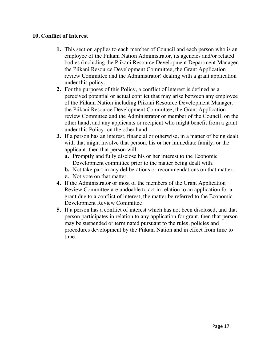### **10. Conflict of Interest**

- **1.** This section applies to each member of Council and each person who is an employee of the Piikani Nation Administrator, its agencies and/or related bodies (including the Piikani Resource Development Department Manager, the Piikani Resource Development Committee, the Grant Application review Committee and the Administrator) dealing with a grant application under this policy.
- **2.** For the purposes of this Policy, a conflict of interest is defined as a perceived potential or actual conflict that may arise between any employee of the Piikani Nation including Piikani Resource Development Manager, the Piikani Resource Development Committee, the Grant Application review Committee and the Administrator or member of the Council, on the other hand, and any applicants or recipient who might benefit from a grant under this Policy, on the other hand.
- **3.** If a person has an interest, financial or otherwise, in a matter of being dealt with that might involve that person, his or her immediate family, or the applicant, then that person will:
	- **a.** Promptly and fully disclose his or her interest to the Economic Development committee prior to the matter being dealt with.
	- **b.** Not take part in any deliberations or recommendations on that matter.
	- **c.** Not vote on that matter.
- **4.** If the Administrator or most of the members of the Grant Application Review Committee are undoable to act in relation to an application for a grant due to a conflict of interest, the matter be referred to the Economic Development Review Committee.
- **5.** If a person has a conflict of interest which has not been disclosed, and that person participates in relation to any application for grant, then that person may be suspended or terminated pursuant to the rules, policies and procedures development by the Piikani Nation and in effect from time to time.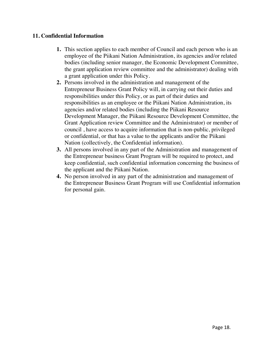### **11. Confidential Information**

- **1.** This section applies to each member of Council and each person who is an employee of the Piikani Nation Administration, its agencies and/or related bodies (including senior manager, the Economic Development Committee, the grant application review committee and the administrator) dealing with a grant application under this Policy.
- **2.** Persons involved in the administration and management of the Entrepreneur Business Grant Policy will, in carrying out their duties and responsibilities under this Policy, or as part of their duties and responsibilities as an employee or the Piikani Nation Administration, its agencies and/or related bodies (including the Piikani Resource Development Manager, the Piikani Resource Development Committee, the Grant Application review Committee and the Administrator) or member of council , have access to acquire information that is non-public, privileged or confidential, or that has a value to the applicants and/or the Piikani Nation (collectively, the Confidential information).
- **3.** All persons involved in any part of the Administration and management of the Entrepreneur business Grant Program will be required to protect, and keep confidential, such confidential information concerning the business of the applicant and the Piikani Nation.
- **4.** No person involved in any part of the administration and management of the Entrepreneur Business Grant Program will use Confidential information for personal gain.